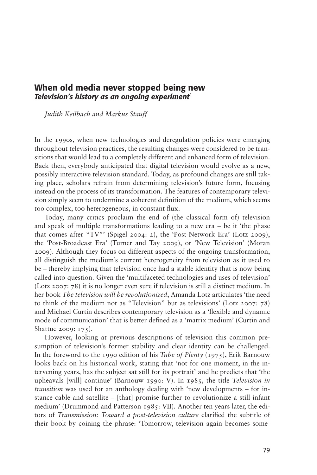# When old media never stopped being new *Television's history as an ongoing experiment*<sup>1</sup>

 *Judith Keilbach and Markus Stauff*

In the 1990s, when new technologies and deregulation policies were emerging throughout television practices, the resulting changes were considered to be transitions that would lead to a completely different and enhanced form of television. Back then, everybody anticipated that digital television would evolve as a new, possibly interactive television standard. Today, as profound changes are still taking place, scholars refrain from determining television's future form, focusing instead on the process of its transformation. The features of contemporary television simply seem to undermine a coherent definition of the medium, which seems too complex, too heterogeneous, in constant flux.

Today, many critics proclaim the end of (the classical form of) television and speak of multiple transformations leading to a new era – be it 'the phase that comes after "TV"' (Spigel 2004: 2), the 'Post-Network Era' (Lotz 2009), the 'Post-Broadcast Era' (Turner and Tay 2009), or 'New Television' (Moran 2009). Although they focus on different aspects of the ongoing transformation, all distinguish the medium's current heterogeneity from television as it used to be – thereby implying that television once had a stable identity that is now being called into question. Given the 'multifaceted technologies and uses of television' (Lotz 2007: 78) it is no longer even sure if television is still a distinct medium. In her book *The television will be revolutionized*, Amanda Lotz articulates 'the need to think of the medium not as "Television" but as televisions' (Lotz 2007: 78) and Michael Curtin describes contemporary television as a 'flexible and dynamic mode of communication' that is better defined as a 'matrix medium' (Curtin and Shattuc 2009: 175).

However, looking at previous descriptions of television this common presumption of television's former stability and clear identity can be challenged. In the foreword to the 1990 edition of his *Tube of Plenty* (1975), Erik Barnouw looks back on his historical work, stating that 'not for one moment, in the intervening years, has the subject sat still for its portrait' and he predicts that 'the upheavals [will] continue' (Barnouw 1990: V). In 1985, the title *Television in transition* was used for an anthology dealing with 'new developments – for instance cable and satellite – [that] promise further to revolutionize a still infant medium' (Drummond and Patterson 1985: VII). Another ten years later, the editors of *Transmission: Toward a post-television culture* clarified the subtitle of their book by coining the phrase: 'Tomorrow, television again becomes some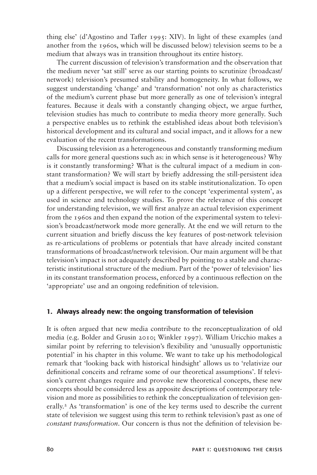thing else' (d'Agostino and Tafler 1995: XIV). In light of these examples (and another from the 1960s, which will be discussed below) television seems to be a medium that always was in transition throughout its entire history.

The current discussion of television's transformation and the observation that the medium never 'sat still' serve as our starting points to scrutinize (broadcast/ network) television's presumed stability and homogeneity. In what follows, we suggest understanding 'change' and 'transformation' not only as characteristics of the medium's current phase but more generally as one of television's integral features. Because it deals with a constantly changing object, we argue further, television studies has much to contribute to media theory more generally. Such a perspective enables us to rethink the established ideas about both television's historical development and its cultural and social impact, and it allows for a new evaluation of the recent transformations.

Discussing television as a heterogeneous and constantly transforming medium calls for more general questions such as: in which sense is it heterogeneous? Why is it constantly transforming? What is the cultural impact of a medium in constant transformation? We will start by briefly addressing the still-persistent idea that a medium's social impact is based on its stable institutionalization. To open up a different perspective, we will refer to the concept 'experimental system', as used in science and technology studies. To prove the relevance of this concept for understanding television, we will first analyze an actual television experiment from the 1960s and then expand the notion of the experimental system to television's broadcast/network mode more generally. At the end we will return to the current situation and briefly discuss the key features of post-network television as re-articulations of problems or potentials that have already incited constant transformations of broadcast/network television. Our main argument will be that television's impact is not adequately described by pointing to a stable and characteristic institutional structure of the medium. Part of the 'power of television' lies in its constant transformation process, enforced by a continuous reflection on the 'appropriate' use and an ongoing redefinition of television.

## 1. Always already new: the ongoing transformation of television

It is often argued that new media contribute to the reconceptualization of old media (e.g. Bolder and Grusin 2010; Winkler 1997). William Uricchio makes a similar point by referring to television's flexibility and 'unusually opportunistic potential' in his chapter in this volume. We want to take up his methodological remark that 'looking back with historical hindsight' allows us to 'relativize our definitional conceits and reframe some of our theoretical assumptions'. If television's current changes require and provoke new theoretical concepts, these new concepts should be considered less as apposite descriptions of contemporary television and more as possibilities to rethink the conceptualization of television generally.2 As 'transformation' is one of the key terms used to describe the current state of television we suggest using this term to rethink television's past as one of *constant transformation*. Our concern is thus not the definition of television be-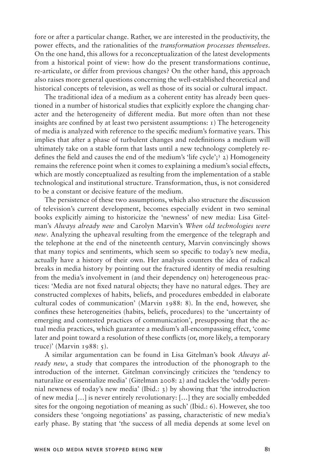fore or after a particular change. Rather, we are interested in the productivity, the power effects, and the rationalities of the *transformation processes themselves*. On the one hand, this allows for a reconceptualization of the latest developments from a historical point of view: how do the present transformations continue, re-articulate, or differ from previous changes? On the other hand, this approach also raises more general questions concerning the well-established theoretical and historical concepts of television, as well as those of its social or cultural impact.

The traditional idea of a medium as a coherent entity has already been questioned in a number of historical studies that explicitly explore the changing character and the heterogeneity of different media. But more often than not these insights are confined by at least two persistent assumptions: 1) The heterogeneity of media is analyzed with reference to the specific medium's formative years. This implies that after a phase of turbulent changes and redefinitions a medium will ultimately take on a stable form that lasts until a new technology completely redefines the field and causes the end of the medium's 'life cycle';<sup>3</sup> 2) Homogeneity remains the reference point when it comes to explaining a medium's social effects, which are mostly conceptualized as resulting from the implementation of a stable technological and institutional structure. Transformation, thus, is not considered to be a constant or decisive feature of the medium.

The persistence of these two assumptions, which also structure the discussion of television's current development, becomes especially evident in two seminal books explicitly aiming to historicize the 'newness' of new media: Lisa Gitelman's *Always already new* and Carolyn Marvin's *When old technologies were new*. Analyzing the upheaval resulting from the emergence of the telegraph and the telephone at the end of the nineteenth century, Marvin convincingly shows that many topics and sentiments, which seem so specific to today's new media, actually have a history of their own. Her analysis counters the idea of radical breaks in media history by pointing out the fractured identity of media resulting from the media's involvement in (and their dependency on) heterogeneous practices: 'Media are not fixed natural objects; they have no natural edges. They are constructed complexes of habits, beliefs, and procedures embedded in elaborate cultural codes of communication' (Marvin 1988: 8). In the end, however, she confines these heterogeneities (habits, beliefs, procedures) to the 'uncertainty of emerging and contested practices of communication', presupposing that the actual media practices, which guarantee a medium's all-encompassing effect, 'come later and point toward a resolution of these conflicts (or, more likely, a temporary truce)' (Marvin 1988: 5).

A similar argumentation can be found in Lisa Gitelman's book *Always already new*, a study that compares the introduction of the phonograph to the introduction of the internet. Gitelman convincingly criticizes the 'tendency to naturalize or essentialize media' (Gitelman 2008: 2) and tackles the 'oddly perennial newness of today's new media' (Ibid.: 3) by showing that 'the introduction of new media […] is never entirely revolutionary: […] they are socially embedded sites for the ongoing negotiation of meaning as such' (Ibid.: 6). However, she too considers these 'ongoing negotiations' as passing, characteristic of new media's early phase. By stating that 'the success of all media depends at some level on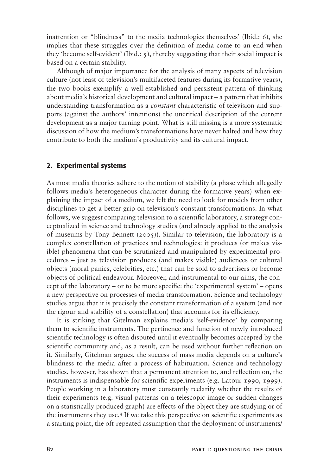inattention or "blindness" to the media technologies themselves' (Ibid.: 6), she implies that these struggles over the definition of media come to an end when they 'become self-evident' (Ibid.:  $\zeta$ ), thereby suggesting that their social impact is based on a certain stability.

Although of major importance for the analysis of many aspects of television culture (not least of television's multifaceted features during its formative years), the two books exemplify a well-established and persistent pattern of thinking about media's historical development and cultural impact – a pattern that inhibits understanding transformation as a *constant* characteristic of television and supports (against the authors' intentions) the uncritical description of the current development as a major turning point. What is still missing is a more systematic discussion of how the medium's transformations have never halted and how they contribute to both the medium's productivity and its cultural impact.

## 2. Experimental systems

As most media theories adhere to the notion of stability (a phase which allegedly follows media's heterogeneous character during the formative years) when explaining the impact of a medium, we felt the need to look for models from other disciplines to get a better grip on television's constant transformations. In what follows, we suggest comparing television to a scientific laboratory, a strategy conceptualized in science and technology studies (and already applied to the analysis of museums by Tony Bennett (2005)). Similar to television, the laboratory is a complex constellation of practices and technologies: it produces (or makes visible) phenomena that can be scrutinized and manipulated by experimental procedures – just as television produces (and makes visible) audiences or cultural objects (moral panics, celebrities, etc.) that can be sold to advertisers or become objects of political endeavour. Moreover, and instrumental to our aims, the concept of the laboratory – or to be more specific: the 'experimental system' – opens a new perspective on processes of media transformation. Science and technology studies argue that it is precisely the constant transformation of a system (and not the rigour and stability of a constellation) that accounts for its efficiency.

It is striking that Gitelman explains media's 'self-evidence' by comparing them to scientific instruments. The pertinence and function of newly introduced scientific technology is often disputed until it eventually becomes accepted by the scientific community and, as a result, can be used without further reflection on it. Similarly, Gitelman argues, the success of mass media depends on a culture's blindness to the media after a process of habituation. Science and technology studies, however, has shown that a permanent attention to, and reflection on, the instruments is indispensable for scientific experiments (e.g. Latour 1990, 1999). People working in a laboratory must constantly reclarify whether the results of their experiments (e.g. visual patterns on a telescopic image or sudden changes on a statistically produced graph) are effects of the object they are studying or of the instruments they use.4 If we take this perspective on scientific experiments as a starting point, the oft-repeated assumption that the deployment of instruments/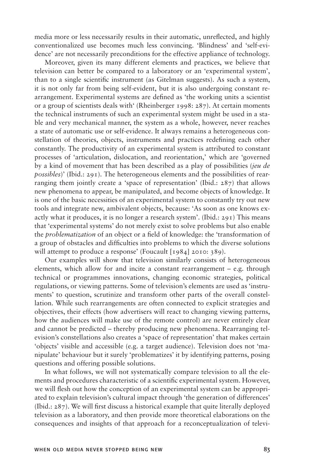media more or less necessarily results in their automatic, unreflected, and highly conventionalized use becomes much less convincing. 'Blindness' and 'self-evidence' are not necessarily preconditions for the effective appliance of technology.

Moreover, given its many different elements and practices, we believe that television can better be compared to a laboratory or an 'experimental system', than to a single scientific instrument (as Gitelman suggests). As such a system, it is not only far from being self-evident, but it is also undergoing constant rearrangement. Experimental systems are defined as 'the working units a scientist or a group of scientists deals with' (Rheinberger 1998: 287). At certain moments the technical instruments of such an experimental system might be used in a stable and very mechanical manner, the system as a whole, however, never reaches a state of automatic use or self-evidence. It always remains a heterogeneous constellation of theories, objects, instruments and practices redefining each other constantly. The productivity of an experimental system is attributed to constant processes of 'articulation, dislocation, and reorientation,' which are 'governed by a kind of movement that has been described as a play of possibilities (*jeu de possibles*)' (Ibid.: 291). The heterogeneous elements and the possibilities of rearranging them jointly create a 'space of representation' (Ibid.: 287) that allows new phenomena to appear, be manipulated, and become objects of knowledge. It is one of the basic necessities of an experimental system to constantly try out new tools and integrate new, ambivalent objects, because: 'As soon as one knows exactly what it produces, it is no longer a research system'. (Ibid.: 291) This means that 'experimental systems' do not merely exist to solve problems but also enable the *problematization* of an object or a field of knowledge: the 'transformation of a group of obstacles and difficulties into problems to which the diverse solutions will attempt to produce a response' (Foucault [1984] 2010: 389).

Our examples will show that television similarly consists of heterogeneous elements, which allow for and incite a constant rearrangement – e.g. through technical or programmes innovations, changing economic strategies, political regulations, or viewing patterns. Some of television's elements are used as 'instruments' to question, scrutinize and transform other parts of the overall constellation. While such rearrangements are often connected to explicit strategies and objectives, their effects (how advertisers will react to changing viewing patterns, how the audiences will make use of the remote control) are never entirely clear and cannot be predicted – thereby producing new phenomena. Rearranging television's constellations also creates a 'space of representation' that makes certain 'objects' visible and accessible (e.g. a target audience). Television does not 'manipulate' behaviour but it surely 'problematizes' it by identifying patterns, posing questions and offering possible solutions.

In what follows, we will not systematically compare television to all the elements and procedures characteristic of a scientific experimental system. However, we will flesh out how the conception of an experimental system can be appropriated to explain television's cultural impact through 'the generation of differences' (Ibid.: 287). We will first discuss a historical example that quite literally deployed television as a laboratory, and then provide more theoretical elaborations on the consequences and insights of that approach for a reconceptualization of televi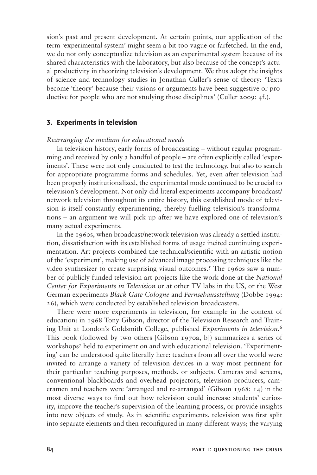sion's past and present development. At certain points, our application of the term 'experimental system' might seem a bit too vague or farfetched. In the end, we do not only conceptualize television as an experimental system because of its shared characteristics with the laboratory, but also because of the concept's actual productivity in theorizing television's development. We thus adopt the insights of science and technology studies in Jonathan Culler's sense of theory: 'Texts become 'theory' because their visions or arguments have been suggestive or productive for people who are not studying those disciplines' (Culler 2009: 4f.).

## 3. Experiments in television

#### *Rearranging the medium for educational needs*

In television history, early forms of broadcasting – without regular programming and received by only a handful of people – are often explicitly called 'experiments'. These were not only conducted to test the technology, but also to search for appropriate programme forms and schedules. Yet, even after television had been properly institutionalized, the experimental mode continued to be crucial to television's development. Not only did literal experiments accompany broadcast/ network television throughout its entire history, this established mode of television is itself constantly experimenting, thereby fuelling television's transformations – an argument we will pick up after we have explored one of television's many actual experiments.

In the 1960s, when broadcast/network television was already a settled institution, dissatisfaction with its established forms of usage incited continuing experimentation. Art projects combined the technical/scientific with an artistic notion of the 'experiment', making use of advanced image processing techniques like the video synthesizer to create surprising visual outcomes.5 The 1960s saw a number of publicly funded television art projects like the work done at the *National Center for Experiments in Television* or at other TV labs in the US, or the West German experiments *Black Gate Cologne* and *Fernsehausstellung* (Dobbe 1994: 26), which were conducted by established television broadcasters.

There were more experiments in television, for example in the context of education: in 1968 Tony Gibson, director of the Television Research and Training Unit at London's Goldsmith College, published *Experiments in television*. 6 This book (followed by two others [Gibson 1970a, b]) summarizes a series of workshops7 held to experiment on and with educational television. 'Experimenting' can be understood quite literally here: teachers from all over the world were invited to arrange a variety of television devices in a way most pertinent for their particular teaching purposes, methods, or subjects. Cameras and screens, conventional blackboards and overhead projectors, television producers, cameramen and teachers were 'arranged and re-arranged' (Gibson 1968: 14) in the most diverse ways to find out how television could increase students' curiosity, improve the teacher's supervision of the learning process, or provide insights into new objects of study. As in scientific experiments, television was first split into separate elements and then reconfigured in many different ways; the varying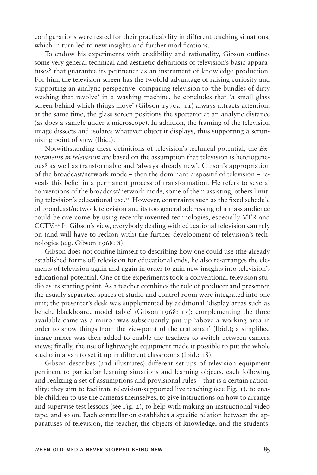configurations were tested for their practicability in different teaching situations, which in turn led to new insights and further modifications.

To endow his experiments with credibility and rationality, Gibson outlines some very general technical and aesthetic definitions of television's basic apparatuses<sup>8</sup> that guarantee its pertinence as an instrument of knowledge production. For him, the television screen has the twofold advantage of raising curiosity and supporting an analytic perspective: comparing television to 'the bundles of dirty washing that revolve' in a washing machine, he concludes that 'a small glass screen behind which things move' (Gibson 1970a: 11) always attracts attention; at the same time, the glass screen positions the spectator at an analytic distance (as does a sample under a microscope). In addition, the framing of the television image dissects and isolates whatever object it displays, thus supporting a scrutinizing point of view (Ibid.).

Notwithstanding these definitions of television's technical potential, the *Experiments in television* are based on the assumption that television is heterogeneous<sup>9</sup> as well as transformable and 'always already new'. Gibson's appropriation of the broadcast/network mode – then the dominant dispositif of television – reveals this belief in a permanent process of transformation. He refers to several conventions of the broadcast/network mode, some of them assisting, others limiting television's educational use.<sup>10</sup> However, constraints such as the fixed schedule of broadcast/network television and its too general addressing of a mass audience could be overcome by using recently invented technologies, especially VTR and  $CCTV<sub>i</sub>$  In Gibson's view, everybody dealing with educational television can rely on (and will have to reckon with) the further development of television's technologies (e.g. Gibson 1968: 8).

Gibson does not confine himself to describing how one could use (the already established forms of) television for educational ends, he also re-arranges the elements of television again and again in order to gain new insights into television's educational potential. One of the experiments took a conventional television studio as its starting point. As a teacher combines the role of producer and presenter, the usually separated spaces of studio and control room were integrated into one unit; the presenter's desk was supplemented by additional 'display areas such as bench, blackboard, model table' (Gibson 1968: 15); complementing the three available cameras a mirror was subsequently put up 'above a working area in order to show things from the viewpoint of the craftsman' (Ibid.); a simplified image mixer was then added to enable the teachers to switch between camera views; finally, the use of lightweight equipment made it possible to put the whole studio in a van to set it up in different classrooms (Ibid.: 18).

Gibson describes (and illustrates) different set-ups of television equipment pertinent to particular learning situations and learning objects, each following and realizing a set of assumptions and provisional rules – that is a certain rationality: they aim to facilitate television-supported live teaching (see Fig.  $\bar{x}$ ), to enable children to use the cameras themselves, to give instructions on how to arrange and supervise test lessons (see Fig. 2), to help with making an instructional video tape, and so on. Each constellation establishes a specific relation between the apparatuses of television, the teacher, the objects of knowledge, and the students.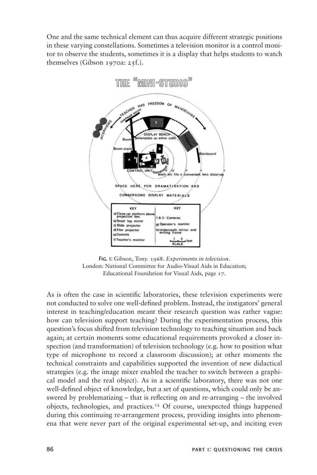One and the same technical element can thus acquire different strategic positions in these varying constellations. Sometimes a television monitor is a control monitor to observe the students, sometimes it is a display that helps students to watch themselves (Gibson 1970a: 25f.).



Fig. 1: Gibson, Tony. 1968. *Experiments in television*. London: National Committee for Audio-Visual Aids in Education; Educational Foundation for Visual Aids, page 17.

As is often the case in scientific laboratories, these television experiments were not conducted to solve one well-defined problem. Instead, the instigators' general interest in teaching/education meant their research question was rather vague: how can television support teaching? During the experimentation process, this question's focus shifted from television technology to teaching situation and back again; at certain moments some educational requirements provoked a closer inspection (and transformation) of television technology (e.g. how to position what type of microphone to record a classroom discussion); at other moments the technical constraints and capabilities supported the invention of new didactical strategies (e.g. the image mixer enabled the teacher to switch between a graphical model and the real object). As in a scientific laboratory, there was not one well-defined object of knowledge, but a set of questions, which could only be answered by problematizing – that is reflecting on and re-arranging – the involved objects, technologies, and practices.12 Of course, unexpected things happened during this continuing re-arrangement process, providing insights into phenomena that were never part of the original experimental set-up, and inciting even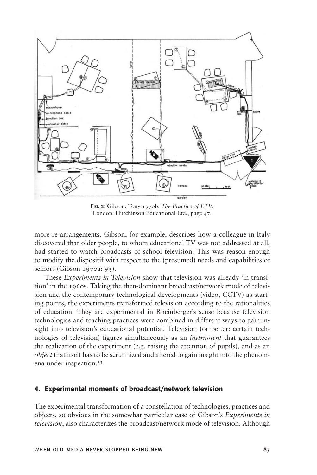

Fig. 2: Gibson, Tony 1970b. *The Practice of ETV*. London: Hutchinson Educational Ltd., page 47.

more re-arrangements. Gibson, for example, describes how a colleague in Italy discovered that older people, to whom educational TV was not addressed at all, had started to watch broadcasts of school television. This was reason enough to modify the dispositif with respect to the (presumed) needs and capabilities of seniors (Gibson 1970a: 93).

These *Experiments in Television* show that television was already 'in transition' in the 1960s. Taking the then-dominant broadcast/network mode of television and the contemporary technological developments (video, CCTV) as starting points, the experiments transformed television according to the rationalities of education. They are experimental in Rheinberger's sense because television technologies and teaching practices were combined in different ways to gain insight into television's educational potential. Television (or better: certain technologies of television) figures simultaneously as an *instrument* that guarantees the realization of the experiment (e.g. raising the attention of pupils), and as an *object* that itself has to be scrutinized and altered to gain insight into the phenomena under inspection.<sup>13</sup>

#### 4. Experimental moments of broadcast/network television

The experimental transformation of a constellation of technologies, practices and objects, so obvious in the somewhat particular case of Gibson's *Experiments in television*, also characterizes the broadcast/network mode of television. Although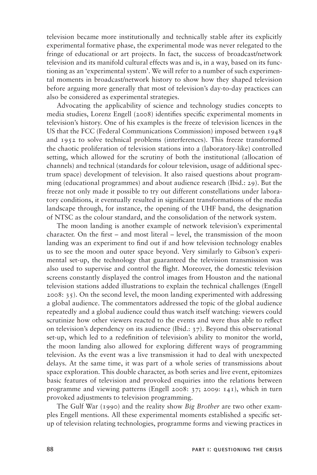television became more institutionally and technically stable after its explicitly experimental formative phase, the experimental mode was never relegated to the fringe of educational or art projects. In fact, the success of broadcast/network television and its manifold cultural effects was and is, in a way, based on its functioning as an 'experimental system'. We will refer to a number of such experimental moments in broadcast/network history to show how they shaped television before arguing more generally that most of television's day-to-day practices can also be considered as experimental strategies.

Advocating the applicability of science and technology studies concepts to media studies, Lorenz Engell (2008) identifies specific experimental moments in television's history. One of his examples is the freeze of television licences in the US that the FCC (Federal Communications Commission) imposed between 1948 and 1952 to solve technical problems (interferences). This freeze transformed the chaotic proliferation of television stations into a (laboratory-like) controlled setting, which allowed for the scrutiny of both the institutional (allocation of channels) and technical (standards for colour television, usage of additional spectrum space) development of television. It also raised questions about programming (educational programmes) and about audience research (Ibid.: 29). But the freeze not only made it possible to try out different constellations under laboratory conditions, it eventually resulted in significant transformations of the media landscape through, for instance, the opening of the UHF band, the designation of NTSC as the colour standard, and the consolidation of the network system.

The moon landing is another example of network television's experimental character. On the first – and most literal – level, the transmission of the moon landing was an experiment to find out if and how television technology enables us to see the moon and outer space beyond. Very similarly to Gibson's experimental set-up, the technology that guaranteed the television transmission was also used to supervise and control the flight. Moreover, the domestic television screens constantly displayed the control images from Houston and the national television stations added illustrations to explain the technical challenges (Engell 2008: 35). On the second level, the moon landing experimented with addressing a global audience. The commentators addressed the topic of the global audience repeatedly and a global audience could thus watch itself watching: viewers could scrutinize how other viewers reacted to the events and were thus able to reflect on television's dependency on its audience (Ibid.: 37). Beyond this observational set-up, which led to a redefinition of television's ability to monitor the world, the moon landing also allowed for exploring different ways of programming television. As the event was a live transmission it had to deal with unexpected delays. At the same time, it was part of a whole series of transmissions about space exploration. This double character, as both series and live event, epitomizes basic features of television and provoked enquiries into the relations between programme and viewing patterns (Engell 2008: 37; 2009: 141), which in turn provoked adjustments to television programming.

The Gulf War (1990) and the reality show *Big Brother* are two other examples Engell mentions*.* All these experimental moments established a specific setup of television relating technologies, programme forms and viewing practices in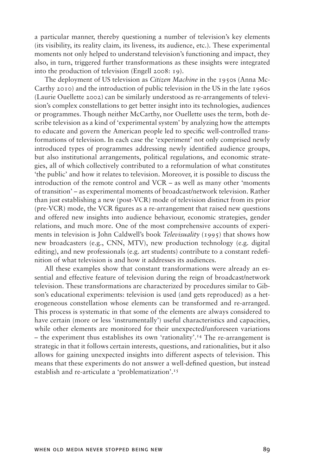a particular manner, thereby questioning a number of television's key elements (its visibility, its reality claim, its liveness, its audience, etc.). These experimental moments not only helped to understand television's functioning and impact, they also, in turn, triggered further transformations as these insights were integrated into the production of television (Engell 2008: 19).

The deployment of US television as *Citizen Machine* in the 1950s (Anna Mc-Carthy 2010) and the introduction of public television in the US in the late 1960s (Laurie Ouellette 2002) can be similarly understood as re-arrangements of television's complex constellations to get better insight into its technologies, audiences or programmes. Though neither McCarthy, nor Ouellette uses the term, both describe television as a kind of 'experimental system' by analyzing how the attempts to educate and govern the American people led to specific well-controlled transformations of television. In each case the 'experiment' not only comprised newly introduced types of programmes addressing newly identified audience groups, but also institutional arrangements, political regulations, and economic strategies, all of which collectively contributed to a reformulation of what constitutes 'the public' and how it relates to television. Moreover, it is possible to discuss the introduction of the remote control and VCR – as well as many other 'moments of transition' – as experimental moments of broadcast/network television. Rather than just establishing a new (post-VCR) mode of television distinct from its prior (pre-VCR) mode, the VCR figures as a re-arrangement that raised new questions and offered new insights into audience behaviour, economic strategies, gender relations, and much more. One of the most comprehensive accounts of experiments in television is John Caldwell's book *Televisuality* (1995) that shows how new broadcasters (e.g., CNN, MTV), new production technology (e.g. digital editing), and new professionals (e.g. art students) contribute to a constant redefinition of what television is and how it addresses its audiences.

All these examples show that constant transformations were already an essential and effective feature of television during the reign of broadcast/network television. These transformations are characterized by procedures similar to Gibson's educational experiments: television is used (and gets reproduced) as a heterogeneous constellation whose elements can be transformed and re-arranged. This process is systematic in that some of the elements are always considered to have certain (more or less 'instrumentally') useful characteristics and capacities, while other elements are monitored for their unexpected/unforeseen variations – the experiment thus establishes its own 'rationality'.<sup>14</sup> The re-arrangement is strategic in that it follows certain interests, questions, and rationalities, but it also allows for gaining unexpected insights into different aspects of television. This means that these experiments do not answer a well-defined question, but instead establish and re-articulate a 'problematization'.<sup>15</sup>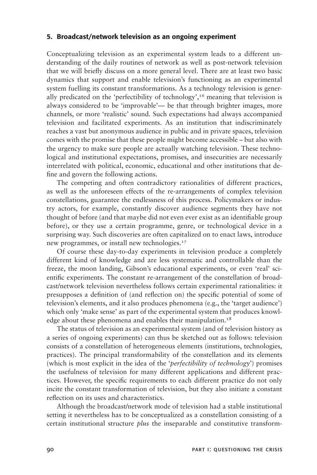#### 5. Broadcast/network television as an ongoing experiment

Conceptualizing television as an experimental system leads to a different understanding of the daily routines of network as well as post-network television that we will briefly discuss on a more general level. There are at least two basic dynamics that support and enable television's functioning as an experimental system fuelling its constant transformations. As a technology television is generally predicated on the 'perfectibility of technology',<sup>16</sup> meaning that television is always considered to be 'improvable'— be that through brighter images, more channels, or more 'realistic' sound. Such expectations had always accompanied television and facilitated experiments. As an institution that indiscriminately reaches a vast but anonymous audience in public and in private spaces, television comes with the promise that these people might become accessible – but also with the urgency to make sure people are actually watching television. These technological and institutional expectations, promises, and insecurities are necessarily interrelated with political, economic, educational and other institutions that define and govern the following actions.

The competing and often contradictory rationalities of different practices, as well as the unforeseen effects of the re-arrangements of complex television constellations, guarantee the endlessness of this process. Policymakers or industry actors, for example, constantly discover audience segments they have not thought of before (and that maybe did not even ever exist as an identifiable group before), or they use a certain programme, genre, or technological device in a surprising way. Such discoveries are often capitalized on to enact laws, introduce new programmes, or install new technologies.<sup>17</sup>

Of course these day-to-day experiments in television produce a completely different kind of knowledge and are less systematic and controllable than the freeze, the moon landing, Gibson's educational experiments, or even 'real' scientific experiments. The constant re-arrangement of the constellation of broadcast/network television nevertheless follows certain experimental rationalities: it presupposes a definition of (and reflection on) the specific potential of some of television's elements, and it also produces phenomena (e.g., the 'target audience') which only 'make sense' as part of the experimental system that produces knowledge about these phenomena and enables their manipulation.<sup>18</sup>

The status of television as an experimental system (and of television history as a series of ongoing experiments) can thus be sketched out as follows: television consists of a constellation of heterogeneous elements (institutions, technologies, practices). The principal transformability of the constellation and its elements (which is most explicit in the idea of the '*perfectibility of technology*') promises the usefulness of television for many different applications and different practices. However, the specific requirements to each different practice do not only incite the constant transformation of television, but they also initiate a constant reflection on its uses and characteristics.

Although the broadcast/network mode of television had a stable institutional setting it nevertheless has to be conceptualized as a constellation consisting of a certain institutional structure *plus* the inseparable and constitutive transform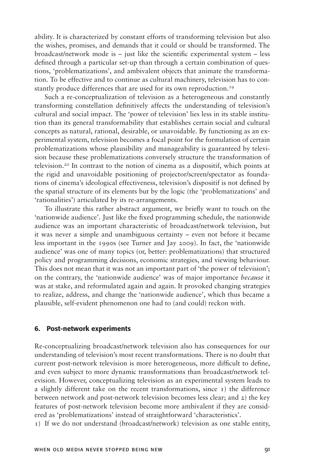ability. It is characterized by constant efforts of transforming television but also the wishes, promises, and demands that it could or should be transformed. The broadcast/network mode is – just like the scientific experimental system – less defined through a particular set-up than through a certain combination of questions, 'problematizations', and ambivalent objects that animate the transformation. To be effective and to continue as cultural machinery, television has to constantly produce differences that are used for its own reproduction.<sup>19</sup>

Such a re-conceptualization of television as a heterogeneous and constantly transforming constellation definitively affects the understanding of television's cultural and social impact. The 'power of television' lies less in its stable institution than its general transformability that establishes certain social and cultural concepts as natural, rational, desirable, or unavoidable. By functioning as an experimental system, television becomes a focal point for the formulation of certain problematizations whose plausibility and manageability is guaranteed by television because these problematizations conversely structure the transformation of television.<sup>20</sup> In contrast to the notion of cinema as a dispositif, which points at the rigid and unavoidable positioning of projector/screen/spectator as foundations of cinema's ideological effectiveness, television's dispositif is not defined by the spatial structure of its elements but by the logic (the 'problematizations' and 'rationalities') articulated by its re-arrangements.

To illustrate this rather abstract argument, we briefly want to touch on the 'nationwide audience'. Just like the fixed programming schedule, the nationwide audience was an important characteristic of broadcast/network television, but it was never a simple and unambiguous certainty – even not before it became less important in the 1990s (see Turner and Jay 2009). In fact, the 'nationwide audience' was one of many topics (or, better: problematizations) that structured policy and programming decisions, economic strategies, and viewing behaviour. This does not mean that it was not an important part of 'the power of television'; on the contrary, the 'nationwide audience' was of major importance *because* it was at stake, and reformulated again and again. It provoked changing strategies to realize, address, and change the 'nationwide audience', which thus became a plausible, self-evident phenomenon one had to (and could) reckon with.

#### 6. Post-network experiments

Re-conceptualizing broadcast/network television also has consequences for our understanding of television's most recent transformations. There is no doubt that current post-network television is more heterogeneous, more difficult to define, and even subject to more dynamic transformations than broadcast/network television. However, conceptualizing television as an experimental system leads to a slightly different take on the recent transformations, since 1) the difference between network and post-network television becomes less clear; and 2) the key features of post-network television become more ambivalent if they are considered as 'problematizations' instead of straightforward 'characteristics'.

1) If we do not understand (broadcast/network) television as one stable entity,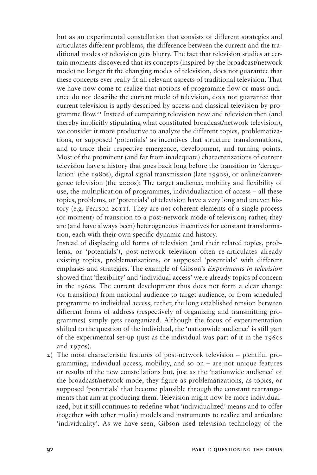but as an experimental constellation that consists of different strategies and articulates different problems, the difference between the current and the traditional modes of television gets blurry. The fact that television studies at certain moments discovered that its concepts (inspired by the broadcast/network mode) no longer fit the changing modes of television, does not guarantee that these concepts ever really fit all relevant aspects of traditional television. That we have now come to realize that notions of programme flow or mass audience do not describe the current mode of television, does not guarantee that current television is aptly described by access and classical television by programme flow.<sup>21</sup> Instead of comparing television now and television then (and thereby implicitly stipulating what constituted broadcast/network television), we consider it more productive to analyze the different topics, problematizations, or supposed 'potentials' as incentives that structure transformations, and to trace their respective emergence, development, and turning points. Most of the prominent (and far from inadequate) characterizations of current television have a history that goes back long before the transition to 'deregulation' (the 1980s), digital signal transmission (late 1990s), or online/convergence television (the 2000s): The target audience, mobility and flexibility of use, the multiplication of programmes, individualization of access – all these topics, problems, or 'potentials' of television have a very long and uneven history (e.g. Pearson 2011). They are not coherent elements of a single process (or moment) of transition to a post-network mode of television; rather, they are (and have always been) heterogeneous incentives for constant transformation, each with their own specific dynamic and history.

Instead of displacing old forms of television (and their related topics, problems, or 'potentials'), post-network television often re-articulates already existing topics, problematizations, or supposed 'potentials' with different emphases and strategies. The example of Gibson's *Experiments in television* showed that 'flexibility' and 'individual access' were already topics of concern in the 1960s. The current development thus does not form a clear change (or transition) from national audience to target audience, or from scheduled programme to individual access; rather, the long established tension between different forms of address (respectively of organizing and transmitting programmes) simply gets reorganized. Although the focus of experimentation shifted to the question of the individual, the 'nationwide audience' is still part of the experimental set-up (just as the individual was part of it in the 1960s and 1970s).

2) The most characteristic features of post-network television – plentiful programming, individual access, mobility, and so on – are not unique features or results of the new constellations but, just as the 'nationwide audience' of the broadcast/network mode, they figure as problematizations, as topics, or supposed 'potentials' that become plausible through the constant rearrangements that aim at producing them. Television might now be more individualized, but it still continues to redefine what 'individualized' means and to offer (together with other media) models and instruments to realize and articulate 'individuality'. As we have seen, Gibson used television technology of the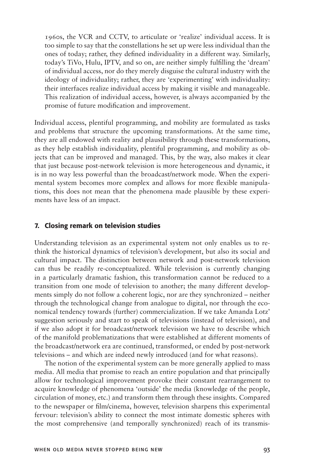1960s, the VCR and CCTV, to articulate or 'realize' individual access. It is too simple to say that the constellations he set up were less individual than the ones of today; rather, they defined individuality in a different way. Similarly, today's TiVo, Hulu, IPTV, and so on, are neither simply fulfilling the 'dream' of individual access, nor do they merely disguise the cultural industry with the ideology of individuality; rather, they are 'experimenting' with individuality: their interfaces realize individual access by making it visible and manageable. This realization of individual access, however, is always accompanied by the promise of future modification and improvement.

Individual access, plentiful programming, and mobility are formulated as tasks and problems that structure the upcoming transformations. At the same time, they are all endowed with reality and plausibility through these transformations, as they help establish individuality, plentiful programming, and mobility as objects that can be improved and managed. This, by the way, also makes it clear that just because post-network television is more heterogeneous and dynamic, it is in no way less powerful than the broadcast/network mode. When the experimental system becomes more complex and allows for more flexible manipulations, this does not mean that the phenomena made plausible by these experiments have less of an impact.

## 7. Closing remark on television studies

Understanding television as an experimental system not only enables us to rethink the historical dynamics of television's development, but also its social and cultural impact. The distinction between network and post-network television can thus be readily re-conceptualized. While television is currently changing in a particularly dramatic fashion, this transformation cannot be reduced to a transition from one mode of television to another; the many different developments simply do not follow a coherent logic, nor are they synchronized – neither through the technological change from analogue to digital, nor through the economical tendency towards (further) commercialization. If we take Amanda Lotz' suggestion seriously and start to speak of televisions (instead of television), and if we also adopt it for broadcast/network television we have to describe which of the manifold problematizations that were established at different moments of the broadcast/network era are continued, transformed, or ended by post-network televisions – and which are indeed newly introduced (and for what reasons).

The notion of the experimental system can be more generally applied to mass media. All media that promise to reach an entire population and that principally allow for technological improvement provoke their constant rearrangement to acquire knowledge of phenomena 'outside' the media (knowledge of the people, circulation of money, etc.) and transform them through these insights. Compared to the newspaper or film/cinema, however, television sharpens this experimental fervour: television's ability to connect the most intimate domestic spheres with the most comprehensive (and temporally synchronized) reach of its transmis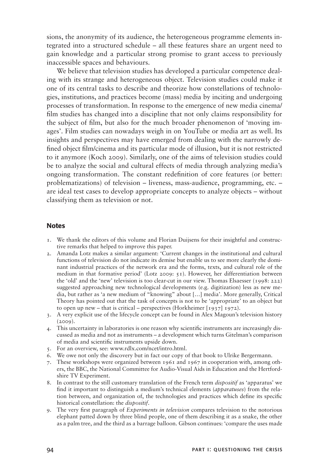sions, the anonymity of its audience, the heterogeneous programme elements integrated into a structured schedule – all these features share an urgent need to gain knowledge and a particular strong promise to grant access to previously inaccessible spaces and behaviours.

We believe that television studies has developed a particular competence dealing with its strange and heterogeneous object. Television studies could make it one of its central tasks to describe and theorize how constellations of technologies, institutions, and practices become (mass) media by inciting and undergoing processes of transformation. In response to the emergence of new media cinema/ film studies has changed into a discipline that not only claims responsibility for the subject of film, but also for the much broader phenomenon of 'moving images'. Film studies can nowadays weigh in on YouTube or media art as well. Its insights and perspectives may have emerged from dealing with the narrowly defined object film/cinema and its particular mode of illusion, but it is not restricted to it anymore (Koch 2009). Similarly, one of the aims of television studies could be to analyze the social and cultural effects of media through analyzing media's ongoing transformation. The constant redefinition of core features (or better: problematizations) of television – liveness, mass-audience, programming, etc. – are ideal test cases to develop appropriate concepts to analyze objects – without classifying them as television or not.

#### **Notes**

- 1. We thank the editors of this volume and Florian Duijsens for their insightful and constructive remarks that helped to improve this paper.
- 2. Amanda Lotz makes a similar argument: 'Current changes in the institutional and cultural functions of television do not indicate its demise but enable us to see more clearly the dominant industrial practices of the network era and the forms, texts, and cultural role of the medium in that formative period' (Lotz 2009: 51). However, her differentiation between the 'old' and the 'new' television is too clear-cut in our view. Thomas Elsaesser (1998: 222) suggested approaching new technological developments (e.g. digitization) less as new media, but rather as 'a new medium of "knowing" about […] media'. More generally, Critical Theory has pointed out that the task of concepts is not to be 'appropriate' to an object but to open up new – that is critical – perspectives (Horkheimer [1937] 1972).
- 3. A very explicit use of the lifecycle concept can be found in Alex Magoun's television history (2009).
- 4. This uncertainty in laboratories is one reason why scientific instruments are increasingly discussed as media and not as instruments – a development which turns Gitelman's comparison of media and scientific instruments upside down.
- 5. For an overview, see: www.rdlx.com/ncet/intro.html.
- 6. We owe not only the discovery but in fact our copy of that book to Ulrike Bergermann.
- 7. These workshops were organized between 1961 and 1967 in cooperation with, among others, the BBC, the National Committee for Audio-Visual Aids in Education and the Hertfordshire TV Experiment.
- 8. In contrast to the still customary translation of the French term *dispositif* as 'apparatus' we find it important to distinguish a medium's technical elements (*apparatuses*) from the relation between, and organization of, the technologies and practices which define its specific historical constellation: the *dispositif*.
- 9. The very first paragraph of *Experiments in television* compares television to the notorious elephant patted down by three blind people, one of them describing it as a snake, the other as a palm tree, and the third as a barrage balloon. Gibson continues: 'compare the uses made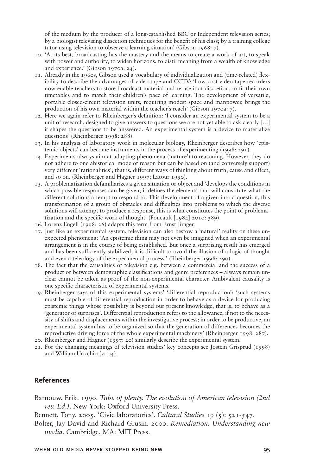of the medium by the producer of a long-established BBC or Independent television series; by a biologist televising dissection techniques for the benefit of his class; by a training college tutor using television to observe a learning situation' (Gibson 1968: 7).

- 10. 'At its best, broadcasting has the mastery and the means to create a work of art, to speak with power and authority, to widen horizons, to distil meaning from a wealth of knowledge and experience.' (Gibson 1970a: 24).
- 11. Already in the 1960s, Gibson used a vocabulary of individualization and (time-related) flexibility to describe the advantages of video tape and CCTV: 'Low-cost video-tape recorders now enable teachers to store broadcast material and re-use it at discretion, to fit their own timetables and to match their children's pace of learning. The development of versatile, portable closed-circuit television units, requiring modest space and manpower, brings the production of his own material within the teacher's reach' (Gibson 1970a: 7).
- 12. Here we again refer to Rheinberger's definition: 'I consider an experimental system to be a unit of research, designed to give answers to questions we are not yet able to ask clearly […] it shapes the questions to be answered. An experimental system is a device to materialize questions' (Rheinberger 1998: 288).
- 13. In his analysis of laboratory work in molecular biology, Rheinberger describes how 'epistemic objects' can become instruments in the process of experimenting (1998: 291).
- 14. Experiments always aim at adapting phenomena ('nature') to reasoning. However, they do not adhere to one ahistorical mode of reason but can be based on (and conversely support) very different 'rationalities'; that is, different ways of thinking about truth, cause and effect, and so on. (Rheinberger and Hagner 1997; Latour 1990).
- 15. A problematization defamiliarizes a given situation or object and 'develops the conditions in which possible responses can be given; it defines the elements that will constitute what the different solutions attempt to respond to. This development of a given into a question, this transformation of a group of obstacles and difficulties into problems to which the diverse solutions will attempt to produce a response, this is what constitutes the point of problematization and the specific work of thought' (Foucault [1984] 2010: 389).
- 16. Lorenz Engell (1998: 26) adapts this term from Ernst Jünger.
- 17. Just like an experimental system, television can also bestow a 'natural' reality on these unexpected phenomena: 'An epistemic thing may not even be imagined when an experimental arrangement is in the course of being established. But once a surprising result has emerged and has been sufficiently stabilized, it is difficult to avoid the illusion of a logic of thought and even a teleology of the experimental process.' (Rheinberger 1998: 290).
- 18. The fact that the causalities of television e.g. between a commercial and the success of a product or between demographic classifications and genre preferences – always remain unclear cannot be taken as proof of the non-experimental character. Ambivalent causality is one specific characteristic of experimental systems.
- 19. Rheinberger says of this experimental systems' 'differential reproduction': 'such systems must be capable of differential reproduction in order to behave as a device for producing epistemic things whose possibility is beyond our present knowledge, that is, to behave as a 'generator of surprises'. Differential reproduction refers to the allowance, if not to the necessity of shifts and displacements within the investigative process; in order to be productive, an experimental system has to be organized so that the generation of differences becomes the reproductive driving force of the whole experimental machinery' (Rheinberger 1998: 287).
- 20. Rheinberger and Hagner (1997: 20) similarly describe the experimental system.
- 21. For the changing meanings of television studies' key concepts see Jostein Grisprud (1998) and William Uricchio (2004).

## References

Barnouw, Erik. 1990. *Tube of plenty. The evolution of American television (2nd rev. Ed.)*. New York: Oxford University Press.

- Bennett, Tony. 2005. 'Civic laboratories'. *Cultural Studies* 19 (5): 521-547.
- Bolter, Jay David and Richard Grusin. 2000. *Remediation. Understanding new media*. Cambridge, MA: MIT Press.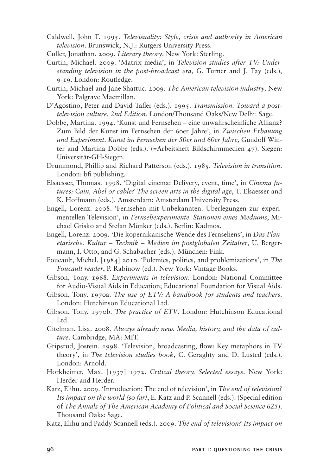- Caldwell, John T. 1995. *Televisuality: Style, crisis and authority in American television*. Brunswick, N.J.: Rutgers University Press.
- Culler, Jonathan. 2009. *Literary theory*. New York: Sterling.
- Curtin, Michael. 2009. 'Matrix media', in *Television studies after TV: Understanding television in the post-broadcast era*, G. Turner and J. Tay (eds.), 9-19. London: Routledge.
- Curtin, Michael and Jane Shattuc. 2009. *The American television industry*. New York: Palgrave Macmillan.
- D'Agostino, Peter and David Tafler (eds.). 1995. *Transmission. Toward a posttelevision culture. 2nd Edition*. London/Thousand Oaks/New Delhi: Sage.
- Dobbe, Martina. 1994. 'Kunst und Fernsehen eine unwahrscheinliche Allianz? Zum Bild der Kunst im Fernsehen der 60er Jahre', in *Zwischen Erbauung und Experiment. Kunst im Fernsehen der 50er und 60er Jahre,* Gundolf Winter and Martina Dobbe (eds.). (=Arbeitsheft Bildschirmmedien 47). Siegen: Universität-GH-Siegen.
- Drummond, Phillip and Richard Patterson (eds.). 1985. *Television in transition*. London: bfi publishing.
- Elsaesser, Thomas. 1998. 'Digital cinema: Delivery, event, time', in *Cinema futures: Cain, Abel or cable? The screen arts in the digital age*, T. Elsaesser and K. Hoffmann (eds.). Amsterdam: Amsterdam University Press.
- Engell, Lorenz. 2008. 'Fernsehen mit Unbekannten. Überlegungen zur experimentellen Television', in *Fernsehexperimente. Stationen eines Mediums*, Michael Grisko and Stefan Münker (eds.). Berlin: Kadmos.
- Engell, Lorenz. 2009. 'Die kopernikanische Wende des Fernsehens', in *Das Planetarische. Kultur – Technik – Medien im postglobalen Zeitalter*, U. Bergermann, I. Otto, and G. Schabacher (eds.). München: Fink.
- Foucault, Michel. [1984] 2010. 'Polemics, politics, and problemizations', in *The Foucault reader*, P. Rabinow (ed.). New York: Vintage Books.
- Gibson, Tony. 1968. *Experiments in television*. London: National Committee for Audio-Visual Aids in Education; Educational Foundation for Visual Aids.
- Gibson, Tony. 1970a. *The use of ETV: A handbook for students and teachers*. London: Hutchinson Educational Ltd.
- Gibson, Tony. 1970b. *The practice of ETV*. London: Hutchinson Educational Ltd.
- Gitelman, Lisa. 2008. *Always already new. Media, history, and the data of culture*. Cambridge, MA: MIT.
- Gripsrud, Jostein. 1998. 'Television, broadcasting, flow: Key metaphors in TV theory', in *The television studies book*, C. Geraghty and D. Lusted (eds.). London: Arnold.
- Horkheimer, Max. [1937] 1972. *Critical theory. Selected essays*. New York: Herder and Herder.
- Katz, Elihu. 2009. 'Introduction: The end of television', in *The end of television? Its impact on the world (so far)*, E. Katz and P. Scannell (eds.). (Special edition of *The Annals of The American Academy of Political and Social Science 625*). Thousand Oaks: Sage.
- Katz, Elihu and Paddy Scannell (eds.). 2009. *The end of television? Its impact on*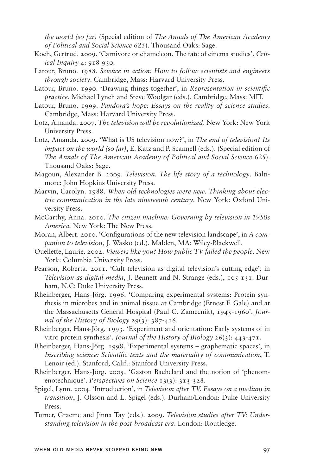*the world (so far)* (Special edition of *The Annals of The American Academy of Political and Social Science 625*). Thousand Oaks: Sage.

- Koch, Gertrud. 2009. 'Carnivore or chameleon. The fate of cinema studies'. *Critical Inquiry* 4: 918-930.
- Latour, Bruno. 1988. *Science in action: How to follow scientists and engineers through society*. Cambridge, Mass: Harvard University Press.
- Latour, Bruno. 1990. 'Drawing things together', in *Representation in scientific practice*, Michael Lynch and Steve Woolgar (eds.). Cambridge, Mass: MIT.
- Latour, Bruno. 1999. *Pandora's hope: Essays on the reality of science studies*. Cambridge, Mass: Harvard University Press.
- Lotz, Amanda. 2007. *The television will be revolutionized*. New York: New York University Press.
- Lotz, Amanda. 2009. 'What is US television now?', in *The end of television? Its impact on the world (so far)*, E. Katz and P. Scannell (eds.). (Special edition of *The Annals of The American Academy of Political and Social Science 625*). Thousand Oaks: Sage.
- Magoun, Alexander B. 2009. *Television. The life story of a technology*. Baltimore: John Hopkins University Press.
- Marvin, Carolyn. 1988. *When old technologies were new. Thinking about electric communication in the late nineteenth century*. New York: Oxford University Press.
- McCarthy, Anna. 2010. *The citizen machine: Governing by television in 1950s America.* New York: The New Press.
- Moran, Albert. 2010. 'Configurations of the new television landscape', in *A companion to television*, J. Wasko (ed.). Malden, MA: Wiley-Blackwell.
- Ouellette, Laurie. 2002. *Viewers like you? How public TV failed the people*. New York: Columbia University Press.
- Pearson, Roberta. 2011. 'Cult television as digital television's cutting edge', in *Television as digital media*, J. Bennett and N. Strange (eds.), 105-131. Durham, N.C: Duke University Press.
- Rheinberger, Hans-Jörg. 1996. 'Comparing experimental systems: Protein synthesis in microbes and in animal tissue at Cambridge (Ernest F. Gale) and at the Massachusetts General Hospital (Paul C. Zamecnik), 1945-1960'. *Journal of the History of Biology* 29(3): 387-416.
- Rheinberger, Hans-Jörg. 1993. 'Experiment and orientation: Early systems of in vitro protein synthesis'. *Journal of the History of Biology* 26(3): 443-471.
- Rheinberger, Hans-Jörg. 1998. 'Experimental systems graphematic spaces', in *Inscribing science: Scientific texts and the materiality of communication*, T. Lenoir (ed.). Stanford, Calif.: Stanford University Press.
- Rheinberger, Hans-Jörg. 2005. 'Gaston Bachelard and the notion of 'phenomenotechnique'. *Perspectives on Science* 13(3): 313-328.
- Spigel, Lynn. 2004. 'Introduction', in *Television after TV. Essays on a medium in transition*, J. Olsson and L. Spigel (eds.). Durham/London: Duke University Press.
- Turner, Graeme and Jinna Tay (eds.). 2009. *Television studies after TV: Understanding television in the post-broadcast era*. London: Routledge.